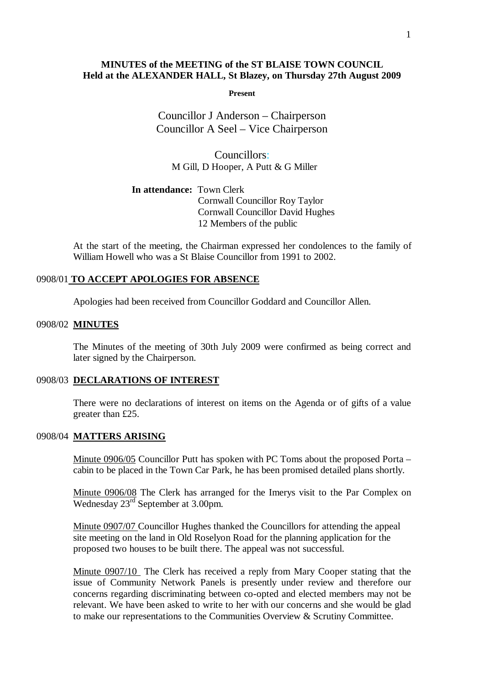# **MINUTES of the MEETING of the ST BLAISE TOWN COUNCIL Held at the ALEXANDER HALL, St Blazey, on Thursday 27th August 2009**

**Present**

Councillor J Anderson – Chairperson Councillor A Seel – Vice Chairperson

Councillors: M Gill, D Hooper, A Putt & G Miller

**In attendance:** Town Clerk Cornwall Councillor Roy Taylor Cornwall Councillor David Hughes 12 Members of the public

At the start of the meeting, the Chairman expressed her condolences to the family of William Howell who was a St Blaise Councillor from 1991 to 2002.

#### 0908/01 **TO ACCEPT APOLOGIES FOR ABSENCE**

Apologies had been received from Councillor Goddard and Councillor Allen.

### 0908/02 **MINUTES**

The Minutes of the meeting of 30th July 2009 were confirmed as being correct and later signed by the Chairperson.

### 0908/03 **DECLARATIONS OF INTEREST**

There were no declarations of interest on items on the Agenda or of gifts of a value greater than £25.

# 0908/04 **MATTERS ARISING**

Minute 0906/05 Councillor Putt has spoken with PC Toms about the proposed Porta – cabin to be placed in the Town Car Park, he has been promised detailed plans shortly.

Minute 0906/08 The Clerk has arranged for the Imerys visit to the Par Complex on Wednesday 23<sup>rd</sup> September at 3.00pm.

Minute 0907/07 Councillor Hughes thanked the Councillors for attending the appeal site meeting on the land in Old Roselyon Road for the planning application for the proposed two houses to be built there. The appeal was not successful.

Minute 0907/10 The Clerk has received a reply from Mary Cooper stating that the issue of Community Network Panels is presently under review and therefore our concerns regarding discriminating between co-opted and elected members may not be relevant. We have been asked to write to her with our concerns and she would be glad to make our representations to the Communities Overview & Scrutiny Committee.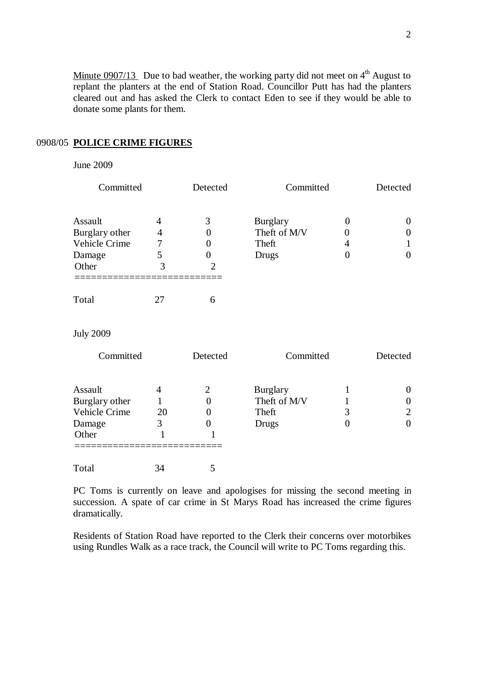Minute  $0.0907/13$  Due to bad weather, the working party did not meet on  $4<sup>th</sup>$  August to replant the planters at the end of Station Road. Councillor Putt has had the planters cleared out and has asked the Clerk to contact Eden to see if they would be able to donate some plants for them.

# 0908/05 **POLICE CRIME FIGURES**

## June 2009

| Committed        |                | Detected         | Committed       |                | Detected         |
|------------------|----------------|------------------|-----------------|----------------|------------------|
| Assault          | 4              | 3                | <b>Burglary</b> | $\theta$       | $\theta$         |
| Burglary other   | $\overline{4}$ | 0                | Theft of M/V    | $\Omega$       | $\overline{0}$   |
| Vehicle Crime    | 7              | 0                | Theft           | 4              | 1                |
| Damage           | 5              | $\Omega$         | <b>Drugs</b>    | $\overline{0}$ | $\overline{0}$   |
| Other            | 3              | $\overline{2}$   |                 |                |                  |
| Total            | 27             | 6                |                 |                |                  |
| <b>July 2009</b> |                |                  |                 |                |                  |
| Committed        |                | Detected         | Committed       |                | Detected         |
| Assault          | $\overline{4}$ | $\overline{2}$   | <b>Burglary</b> | 1              | $\theta$         |
| Burglary other   | 1              | $\overline{0}$   | Theft of M/V    |                | $\boldsymbol{0}$ |
| Vehicle Crime    | 20             | 0                | Theft           | 3              | $\overline{2}$   |
| Damage           | 3              | $\boldsymbol{0}$ | <b>Drugs</b>    | $\overline{0}$ | $\overline{0}$   |
| Other            | $\mathbf{1}$   |                  |                 |                |                  |

Total 34 5

PC Toms is currently on leave and apologises for missing the second meeting in succession. A spate of car crime in St Marys Road has increased the crime figures dramatically.

Residents of Station Road have reported to the Clerk their concerns over motorbikes using Rundles Walk as a race track, the Council will write to PC Toms regarding this.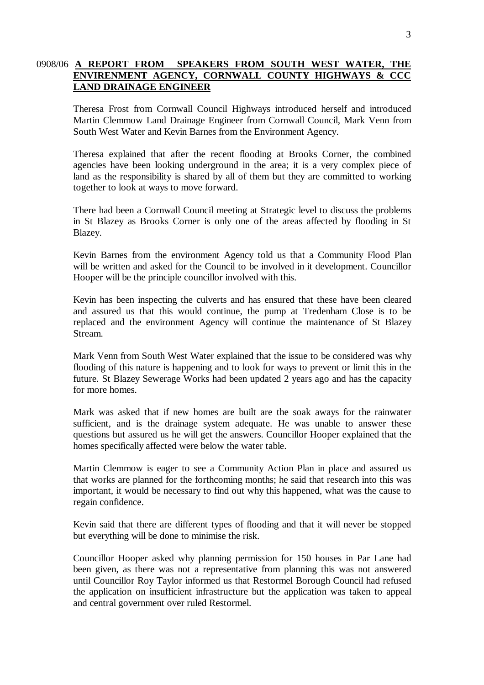# 0908/06 **A REPORT FROM SPEAKERS FROM SOUTH WEST WATER, THE ENVIRENMENT AGENCY, CORNWALL COUNTY HIGHWAYS & CCC LAND DRAINAGE ENGINEER**

Theresa Frost from Cornwall Council Highways introduced herself and introduced Martin Clemmow Land Drainage Engineer from Cornwall Council, Mark Venn from South West Water and Kevin Barnes from the Environment Agency.

Theresa explained that after the recent flooding at Brooks Corner, the combined agencies have been looking underground in the area; it is a very complex piece of land as the responsibility is shared by all of them but they are committed to working together to look at ways to move forward.

There had been a Cornwall Council meeting at Strategic level to discuss the problems in St Blazey as Brooks Corner is only one of the areas affected by flooding in St Blazey.

Kevin Barnes from the environment Agency told us that a Community Flood Plan will be written and asked for the Council to be involved in it development. Councillor Hooper will be the principle councillor involved with this.

Kevin has been inspecting the culverts and has ensured that these have been cleared and assured us that this would continue, the pump at Tredenham Close is to be replaced and the environment Agency will continue the maintenance of St Blazey Stream.

Mark Venn from South West Water explained that the issue to be considered was why flooding of this nature is happening and to look for ways to prevent or limit this in the future. St Blazey Sewerage Works had been updated 2 years ago and has the capacity for more homes.

Mark was asked that if new homes are built are the soak aways for the rainwater sufficient, and is the drainage system adequate. He was unable to answer these questions but assured us he will get the answers. Councillor Hooper explained that the homes specifically affected were below the water table.

Martin Clemmow is eager to see a Community Action Plan in place and assured us that works are planned for the forthcoming months; he said that research into this was important, it would be necessary to find out why this happened, what was the cause to regain confidence.

Kevin said that there are different types of flooding and that it will never be stopped but everything will be done to minimise the risk.

Councillor Hooper asked why planning permission for 150 houses in Par Lane had been given, as there was not a representative from planning this was not answered until Councillor Roy Taylor informed us that Restormel Borough Council had refused the application on insufficient infrastructure but the application was taken to appeal and central government over ruled Restormel.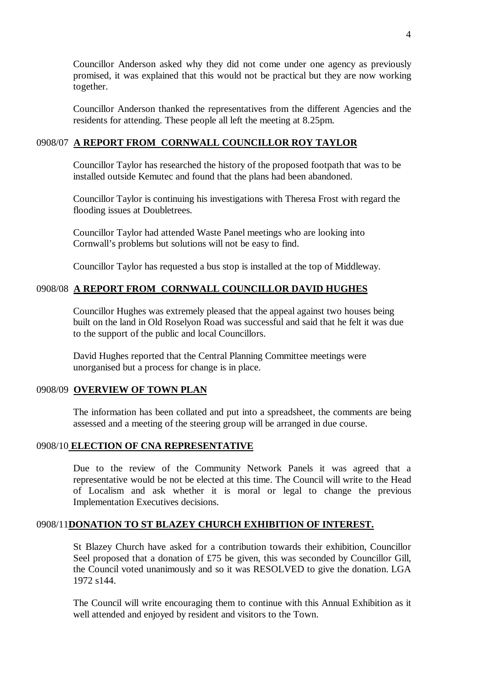Councillor Anderson asked why they did not come under one agency as previously promised, it was explained that this would not be practical but they are now working together.

Councillor Anderson thanked the representatives from the different Agencies and the residents for attending. These people all left the meeting at 8.25pm.

# 0908/07 **A REPORT FROM CORNWALL COUNCILLOR ROY TAYLOR**

Councillor Taylor has researched the history of the proposed footpath that was to be installed outside Kemutec and found that the plans had been abandoned.

Councillor Taylor is continuing his investigations with Theresa Frost with regard the flooding issues at Doubletrees.

Councillor Taylor had attended Waste Panel meetings who are looking into Cornwall's problems but solutions will not be easy to find.

Councillor Taylor has requested a bus stop is installed at the top of Middleway.

# 0908/08 **A REPORT FROM CORNWALL COUNCILLOR DAVID HUGHES**

Councillor Hughes was extremely pleased that the appeal against two houses being built on the land in Old Roselyon Road was successful and said that he felt it was due to the support of the public and local Councillors.

David Hughes reported that the Central Planning Committee meetings were unorganised but a process for change is in place.

# 0908/09 **OVERVIEW OF TOWN PLAN**

The information has been collated and put into a spreadsheet, the comments are being assessed and a meeting of the steering group will be arranged in due course.

### 0908/10 **ELECTION OF CNA REPRESENTATIVE**

Due to the review of the Community Network Panels it was agreed that a representative would be not be elected at this time. The Council will write to the Head of Localism and ask whether it is moral or legal to change the previous Implementation Executives decisions.

## 0908/11**DONATION TO ST BLAZEY CHURCH EXHIBITION OF INTEREST.**

St Blazey Church have asked for a contribution towards their exhibition, Councillor Seel proposed that a donation of £75 be given, this was seconded by Councillor Gill, the Council voted unanimously and so it was RESOLVED to give the donation. LGA 1972 s144.

The Council will write encouraging them to continue with this Annual Exhibition as it well attended and enjoyed by resident and visitors to the Town.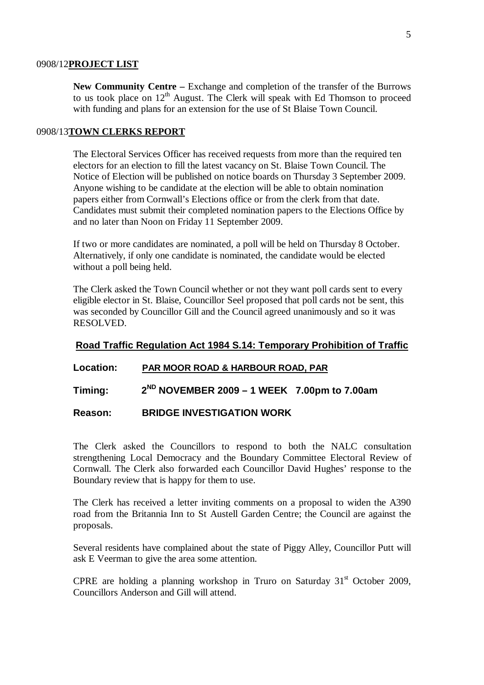#### 0908/12**PROJECT LIST**

**New Community Centre –** Exchange and completion of the transfer of the Burrows to us took place on  $12<sup>th</sup>$  August. The Clerk will speak with Ed Thomson to proceed with funding and plans for an extension for the use of St Blaise Town Council.

#### 0908/13**TOWN CLERKS REPORT**

The Electoral Services Officer has received requests from more than the required ten electors for an election to fill the latest vacancy on St. Blaise Town Council. The Notice of Election will be published on notice boards on Thursday 3 September 2009. Anyone wishing to be candidate at the election will be able to obtain nomination papers either from Cornwall's Elections office or from the clerk from that date. Candidates must submit their completed nomination papers to the Elections Office by and no later than Noon on Friday 11 September 2009.

If two or more candidates are nominated, a poll will be held on Thursday 8 October. Alternatively, if only one candidate is nominated, the candidate would be elected without a poll being held.

The Clerk asked the Town Council whether or not they want poll cards sent to every eligible elector in St. Blaise, Councillor Seel proposed that poll cards not be sent, this was seconded by Councillor Gill and the Council agreed unanimously and so it was RESOLVED.

### **Road Traffic Regulation Act 1984 S.14: Temporary Prohibition of Traffic**

#### **Location: PAR MOOR ROAD & HARBOUR ROAD, PAR**

**Timing: 2ND NOVEMBER 2009 – 1 WEEK 7.00pm to 7.00am**

## **Reason: BRIDGE INVESTIGATION WORK**

The Clerk asked the Councillors to respond to both the NALC consultation strengthening Local Democracy and the Boundary Committee Electoral Review of Cornwall. The Clerk also forwarded each Councillor David Hughes' response to the Boundary review that is happy for them to use.

The Clerk has received a letter inviting comments on a proposal to widen the A390 road from the Britannia Inn to St Austell Garden Centre; the Council are against the proposals.

Several residents have complained about the state of Piggy Alley, Councillor Putt will ask E Veerman to give the area some attention.

CPRE are holding a planning workshop in Truro on Saturday  $31<sup>st</sup>$  October 2009, Councillors Anderson and Gill will attend.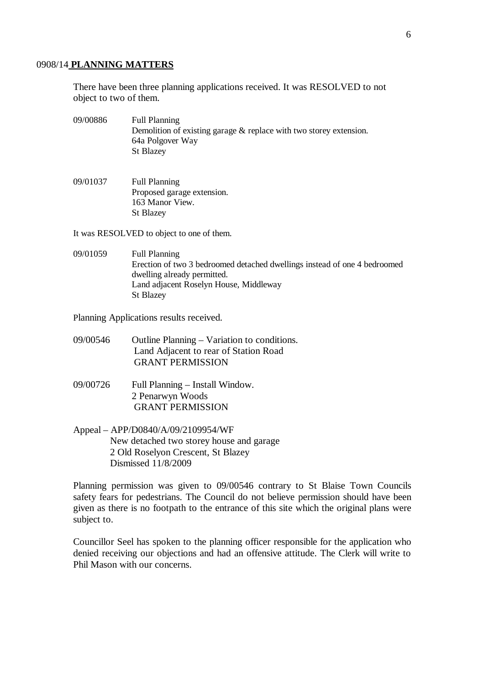#### 0908/14 **PLANNING MATTERS**

There have been three planning applications received. It was RESOLVED to not object to two of them.

- 09/00886 Full Planning Demolition of existing garage  $\&$  replace with two storey extension. 64a Polgover Way St Blazey
- 09/01037 Full Planning Proposed garage extension. 163 Manor View. St Blazey

It was RESOLVED to object to one of them.

09/01059 Full Planning Erection of two 3 bedroomed detached dwellings instead of one 4 bedroomed dwelling already permitted. Land adjacent Roselyn House, Middleway St Blazey

Planning Applications results received.

- 09/00546 Outline Planning Variation to conditions. Land Adjacent to rear of Station Road GRANT PERMISSION
- 09/00726 Full Planning Install Window. 2 Penarwyn Woods GRANT PERMISSION
- Appeal APP/D0840/A/09/2109954/WF New detached two storey house and garage 2 Old Roselyon Crescent, St Blazey Dismissed 11/8/2009

Planning permission was given to 09/00546 contrary to St Blaise Town Councils safety fears for pedestrians. The Council do not believe permission should have been given as there is no footpath to the entrance of this site which the original plans were subject to.

Councillor Seel has spoken to the planning officer responsible for the application who denied receiving our objections and had an offensive attitude. The Clerk will write to Phil Mason with our concerns.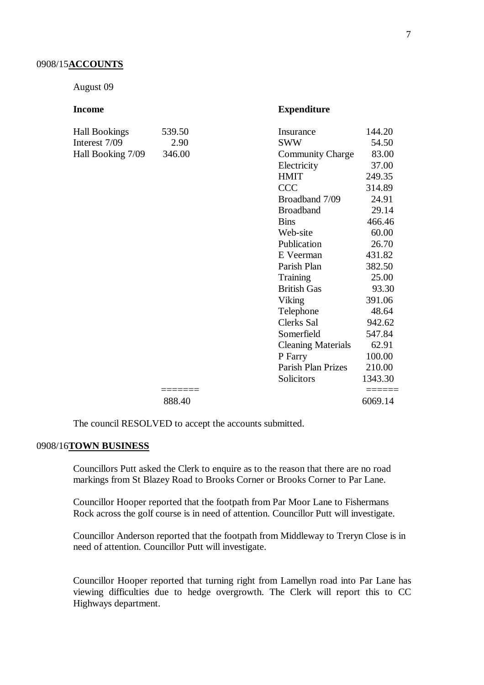#### 0908/15**ACCOUNTS**

August 09

| Income               |        | <b>Expenditure</b>        |         |
|----------------------|--------|---------------------------|---------|
| <b>Hall Bookings</b> | 539.50 | Insurance                 | 144.20  |
| Interest 7/09        | 2.90   | <b>SWW</b>                | 54.50   |
| Hall Booking 7/09    | 346.00 | <b>Community Charge</b>   | 83.00   |
|                      |        | Electricity               | 37.00   |
|                      |        | <b>HMIT</b>               | 249.35  |
|                      |        | <b>CCC</b>                | 314.89  |
|                      |        | Broadband 7/09            | 24.91   |
|                      |        | <b>Broadband</b>          | 29.14   |
|                      |        | <b>Bins</b>               | 466.46  |
|                      |        | Web-site                  | 60.00   |
|                      |        | Publication               | 26.70   |
|                      |        | E Veerman                 | 431.82  |
|                      |        | Parish Plan               | 382.50  |
|                      |        | Training                  | 25.00   |
|                      |        | <b>British Gas</b>        | 93.30   |
|                      |        | Viking                    | 391.06  |
|                      |        | Telephone                 | 48.64   |
|                      |        | Clerks Sal                | 942.62  |
|                      |        | Somerfield                | 547.84  |
|                      |        | <b>Cleaning Materials</b> | 62.91   |
|                      |        | P Farry                   | 100.00  |
|                      |        | Parish Plan Prizes        | 210.00  |
|                      |        | Solicitors                | 1343.30 |
|                      | 888.40 |                           | 6069.14 |
|                      |        |                           |         |

The council RESOLVED to accept the accounts submitted.

## 0908/16**TOWN BUSINESS**

Councillors Putt asked the Clerk to enquire as to the reason that there are no road markings from St Blazey Road to Brooks Corner or Brooks Corner to Par Lane.

Councillor Hooper reported that the footpath from Par Moor Lane to Fishermans Rock across the golf course is in need of attention. Councillor Putt will investigate.

Councillor Anderson reported that the footpath from Middleway to Treryn Close is in need of attention. Councillor Putt will investigate.

Councillor Hooper reported that turning right from Lamellyn road into Par Lane has viewing difficulties due to hedge overgrowth. The Clerk will report this to CC Highways department.